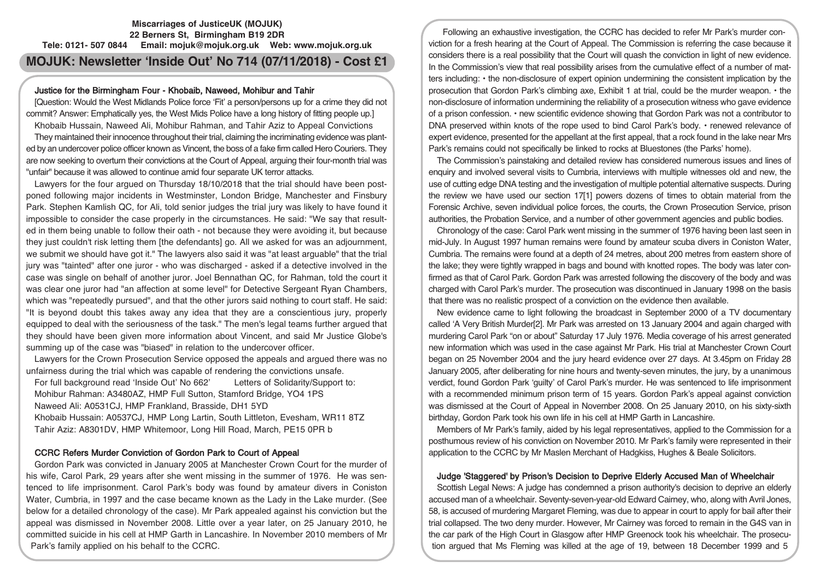# **Miscarriages of JusticeUK (MOJUK) 22 Berners St, Birmingham B19 2DR Tele: 0121- 507 0844 Email: mojuk@mojuk.org.uk Web: www.mojuk.org.uk**

# **MOJUK: Newsletter 'Inside Out' No 714 (07/11/2018) - Cost £1**

## Justice for the Birmingham Four - Khobaib, Naweed, Mohibur and Tahir

[Question: Would the West Midlands Police force 'Fit' a person/persons up for a crime they did not commit? Answer: Emphatically yes, the West Mids Police have a long history of fitting people up.] Khobaib Hussain, Naweed Ali, Mohibur Rahman, and Tahir Aziz to Appeal Convictions

They maintained their innocence throughout their trial, claiming the incriminating evidence was planted by an undercover police officer known as Vincent, the boss of a fake firm called Hero Couriers. They are now seeking to overturn their convictions at the Court of Appeal, arguing their four-month trial was "unfair" because it was allowed to continue amid four separate UK terror attacks.

Lawyers for the four argued on Thursday 18/10/2018 that the trial should have been postponed following major incidents in Westminster, London Bridge, Manchester and Finsbury Park. Stephen Kamlish QC, for Ali, told senior judges the trial jury was likely to have found it impossible to consider the case properly in the circumstances. He said: "We say that resulted in them being unable to follow their oath - not because they were avoiding it, but because they just couldn't risk letting them [the defendants] go. All we asked for was an adjournment, we submit we should have got it." The lawyers also said it was "at least arguable" that the trial jury was "tainted" after one juror - who was discharged - asked if a detective involved in the case was single on behalf of another juror. Joel Bennathan QC, for Rahman, told the court it was clear one juror had "an affection at some level" for Detective Sergeant Ryan Chambers, which was "repeatedly pursued", and that the other jurors said nothing to court staff. He said: "It is beyond doubt this takes away any idea that they are a conscientious jury, properly equipped to deal with the seriousness of the task." The men's legal teams further argued that they should have been given more information about Vincent, and said Mr Justice Globe's summing up of the case was "biased" in relation to the undercover officer.

Lawyers for the Crown Prosecution Service opposed the appeals and argued there was no unfairness during the trial which was capable of rendering the convictions unsafe.

For full background read 'Inside Out' No 662' Letters of Solidarity/Support to: Mohibur Rahman: A3480AZ, HMP Full Sutton, Stamford Bridge, YO4 1PS Naweed Ali: A0531CJ, HMP Frankland, Brasside, DH1 5YD Khobaib Hussain: A0537CJ, HMP Long Lartin, South Littleton, Evesham, WR11 8TZ Tahir Aziz: A8301DV, HMP Whitemoor, Long Hill Road, March, PE15 0PR b

# CCRC Refers Murder Conviction of Gordon Park to Court of Appeal

Gordon Park was convicted in January 2005 at Manchester Crown Court for the murder of his wife, Carol Park, 29 years after she went missing in the summer of 1976. He was sentenced to life imprisonment. Carol Park's body was found by amateur divers in Coniston Water, Cumbria, in 1997 and the case became known as the Lady in the Lake murder. (See below for a detailed chronology of the case). Mr Park appealed against his conviction but the appeal was dismissed in November 2008. Little over a year later, on 25 January 2010, he committed suicide in his cell at HMP Garth in Lancashire. In November 2010 members of Mr Park's family applied on his behalf to the CCRC.

Following an exhaustive investigation, the CCRC has decided to refer Mr Park's murder conviction for a fresh hearing at the Court of Appeal. The Commission is referring the case because it considers there is a real possibility that the Court will quash the conviction in light of new evidence. In the Commission's view that real possibility arises from the cumulative effect of a number of matters including: • the non-disclosure of expert opinion undermining the consistent implication by the prosecution that Gordon Park's climbing axe, Exhibit 1 at trial, could be the murder weapon. • the non-disclosure of information undermining the reliability of a prosecution witness who gave evidence of a prison confession. • new scientific evidence showing that Gordon Park was not a contributor to DNA preserved within knots of the rope used to bind Carol Park's body. • renewed relevance of expert evidence, presented for the appellant at the first appeal, that a rock found in the lake near Mrs Park's remains could not specifically be linked to rocks at Bluestones (the Parks' home).

The Commission's painstaking and detailed review has considered numerous issues and lines of enquiry and involved several visits to Cumbria, interviews with multiple witnesses old and new, the use of cutting edge DNA testing and the investigation of multiple potential alternative suspects. During the review we have used our section 17[1] powers dozens of times to obtain material from the Forensic Archive, seven individual police forces, the courts, the Crown Prosecution Service, prison authorities, the Probation Service, and a number of other government agencies and public bodies.

Chronology of the case: Carol Park went missing in the summer of 1976 having been last seen in mid-July. In August 1997 human remains were found by amateur scuba divers in Coniston Water, Cumbria. The remains were found at a depth of 24 metres, about 200 metres from eastern shore of the lake; they were tightly wrapped in bags and bound with knotted ropes. The body was later confirmed as that of Carol Park. Gordon Park was arrested following the discovery of the body and was charged with Carol Park's murder. The prosecution was discontinued in January 1998 on the basis that there was no realistic prospect of a conviction on the evidence then available.

New evidence came to light following the broadcast in September 2000 of a TV documentary called 'A Very British Murder[2]. Mr Park was arrested on 13 January 2004 and again charged with murdering Carol Park "on or about" Saturday 17 July 1976. Media coverage of his arrest generated new information which was used in the case against Mr Park. His trial at Manchester Crown Court began on 25 November 2004 and the jury heard evidence over 27 days. At 3.45pm on Friday 28 January 2005, after deliberating for nine hours and twenty-seven minutes, the jury, by a unanimous verdict, found Gordon Park 'guilty' of Carol Park's murder. He was sentenced to life imprisonment with a recommended minimum prison term of 15 years. Gordon Park's appeal against conviction was dismissed at the Court of Appeal in November 2008. On 25 January 2010, on his sixty-sixth birthday, Gordon Park took his own life in his cell at HMP Garth in Lancashire.

Members of Mr Park's family, aided by his legal representatives, applied to the Commission for a posthumous review of his conviction on November 2010. Mr Park's family were represented in their application to the CCRC by Mr Maslen Merchant of Hadgkiss, Hughes & Beale Solicitors.

# Judge 'Staggered' by Prison's Decision to Deprive Elderly Accused Man of Wheelchair

Scottish Legal News: A judge has condemned a prison authority's decision to deprive an elderly accused man of a wheelchair. Seventy-seven-year-old Edward Cairney, who, along with Avril Jones, 58, is accused of murdering Margaret Fleming, was due to appear in court to apply for bail after their trial collapsed. The two deny murder. However, Mr Cairney was forced to remain in the G4S van in the car park of the High Court in Glasgow after HMP Greenock took his wheelchair. The prosecution argued that Ms Fleming was killed at the age of 19, between 18 December 1999 and 5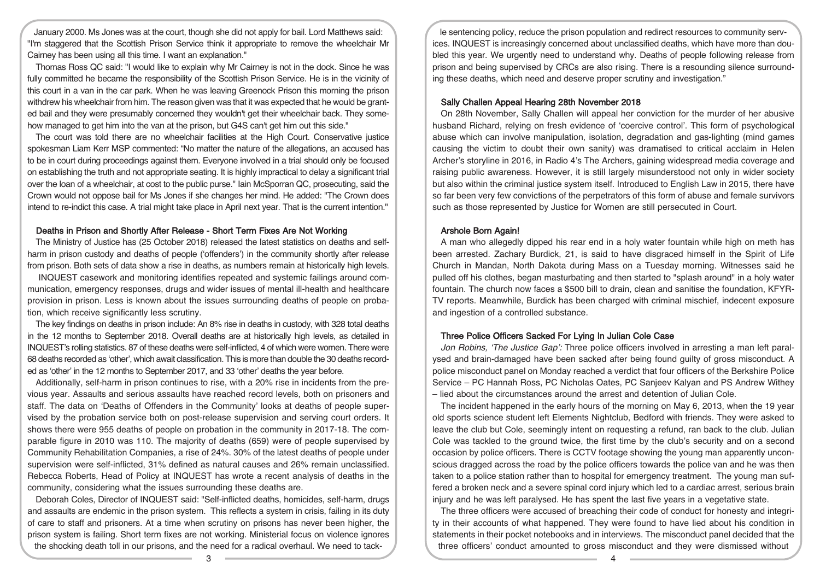January 2000. Ms Jones was at the court, though she did not apply for bail. Lord Matthews said: "I'm staggered that the Scottish Prison Service think it appropriate to remove the wheelchair Mr Cairney has been using all this time. I want an explanation."

Thomas Ross QC said: "I would like to explain why Mr Cairney is not in the dock. Since he was fully committed he became the responsibility of the Scottish Prison Service. He is in the vicinity of this court in a van in the car park. When he was leaving Greenock Prison this morning the prison withdrew his wheelchair from him. The reason given was that it was expected that he would be granted bail and they were presumably concerned they wouldn't get their wheelchair back. They somehow managed to get him into the van at the prison, but G4S can't get him out this side."

The court was told there are no wheelchair facilities at the High Court. Conservative justice spokesman Liam Kerr MSP commented: "No matter the nature of the allegations, an accused has to be in court during proceedings against them. Everyone involved in a trial should only be focused on establishing the truth and not appropriate seating. It is highly impractical to delay a significant trial over the loan of a wheelchair, at cost to the public purse." Iain McSporran QC, prosecuting, said the Crown would not oppose bail for Ms Jones if she changes her mind. He added: "The Crown does intend to re-indict this case. A trial might take place in April next year. That is the current intention."

#### Deaths in Prison and Shortly After Release - Short Term Fixes Are Not Working

The Ministry of Justice has (25 October 2018) released the latest statistics on deaths and selfharm in prison custody and deaths of people ('offenders') in the community shortly after release from prison. Both sets of data show a rise in deaths, as numbers remain at historically high levels.

INQUEST casework and monitoring identifies repeated and systemic failings around communication, emergency responses, drugs and wider issues of mental ill-health and healthcare provision in prison. Less is known about the issues surrounding deaths of people on probation, which receive significantly less scrutiny.

The key findings on deaths in prison include: An 8% rise in deaths in custody, with 328 total deaths in the 12 months to September 2018. Overall deaths are at historically high levels, as detailed in INQUEST's rolling statistics. 87 of these deaths were self-inflicted, 4 of which were women. There were 68 deaths recorded as 'other', which await classification. This is more than double the 30 deaths recorded as 'other' in the 12 months to September 2017, and 33 'other' deaths the year before.

Additionally, self-harm in prison continues to rise, with a 20% rise in incidents from the previous year. Assaults and serious assaults have reached record levels, both on prisoners and staff. The data on 'Deaths of Offenders in the Community' looks at deaths of people supervised by the probation service both on post-release supervision and serving court orders. It shows there were 955 deaths of people on probation in the community in 2017-18. The comparable figure in 2010 was 110. The majority of deaths (659) were of people supervised by Community Rehabilitation Companies, a rise of 24%. 30% of the latest deaths of people under supervision were self-inflicted, 31% defined as natural causes and 26% remain unclassified. Rebecca Roberts, Head of Policy at INQUEST has wrote a recent analysis of deaths in the community, considering what the issues surrounding these deaths are.

Deborah Coles, Director of INQUEST said: "Self-inflicted deaths, homicides, self-harm, drugs and assaults are endemic in the prison system. This reflects a system in crisis, failing in its duty of care to staff and prisoners. At a time when scrutiny on prisons has never been higher, the prison system is failing. Short term fixes are not working. Ministerial focus on violence ignores the shocking death toll in our prisons, and the need for a radical overhaul. We need to tack-

le sentencing policy, reduce the prison population and redirect resources to community services. INQUEST is increasingly concerned about unclassified deaths, which have more than doubled this year. We urgently need to understand why. Deaths of people following release from prison and being supervised by CRCs are also rising. There is a resounding silence surrounding these deaths, which need and deserve proper scrutiny and investigation."

#### Sally Challen Appeal Hearing 28th November 2018

On 28th November, Sally Challen will appeal her conviction for the murder of her abusive husband Richard, relying on fresh evidence of 'coercive control'. This form of psychological abuse which can involve manipulation, isolation, degradation and gas-lighting (mind games causing the victim to doubt their own sanity) was dramatised to critical acclaim in Helen Archer's storyline in 2016, in Radio 4's The Archers, gaining widespread media coverage and raising public awareness. However, it is still largely misunderstood not only in wider society but also within the criminal justice system itself. Introduced to English Law in 2015, there have so far been very few convictions of the perpetrators of this form of abuse and female survivors such as those represented by Justice for Women are still persecuted in Court.

#### Arshole Born Again!

A man who allegedly dipped his rear end in a holy water fountain while high on meth has been arrested. Zachary Burdick, 21, is said to have disgraced himself in the Spirit of Life Church in Mandan, North Dakota during Mass on a Tuesday morning. Witnesses said he pulled off his clothes, began masturbating and then started to "splash around" in a holy water fountain. The church now faces a \$500 bill to drain, clean and sanitise the foundation, KFYR-TV reports. Meanwhile, Burdick has been charged with criminal mischief, indecent exposure and ingestion of a controlled substance.

## Three Police Officers Sacked For Lying In Julian Cole Case

Jon Robins, 'The Justice Gap': Three police officers involved in arresting a man left paralysed and brain-damaged have been sacked after being found guilty of gross misconduct. A police misconduct panel on Monday reached a verdict that four officers of the Berkshire Police Service – PC Hannah Ross, PC Nicholas Oates, PC Sanjeev Kalyan and PS Andrew Withey – lied about the circumstances around the arrest and detention of Julian Cole.

The incident happened in the early hours of the morning on May 6, 2013, when the 19 year old sports science student left Elements Nightclub, Bedford with friends. They were asked to leave the club but Cole, seemingly intent on requesting a refund, ran back to the club. Julian Cole was tackled to the ground twice, the first time by the club's security and on a second occasion by police officers. There is CCTV footage showing the young man apparently unconscious dragged across the road by the police officers towards the police van and he was then taken to a police station rather than to hospital for emergency treatment. The young man suffered a broken neck and a severe spinal cord injury which led to a cardiac arrest, serious brain injury and he was left paralysed. He has spent the last five years in a vegetative state.

The three officers were accused of breaching their code of conduct for honesty and integrity in their accounts of what happened. They were found to have lied about his condition in statements in their pocket notebooks and in interviews. The misconduct panel decided that the three officers' conduct amounted to gross misconduct and they were dismissed without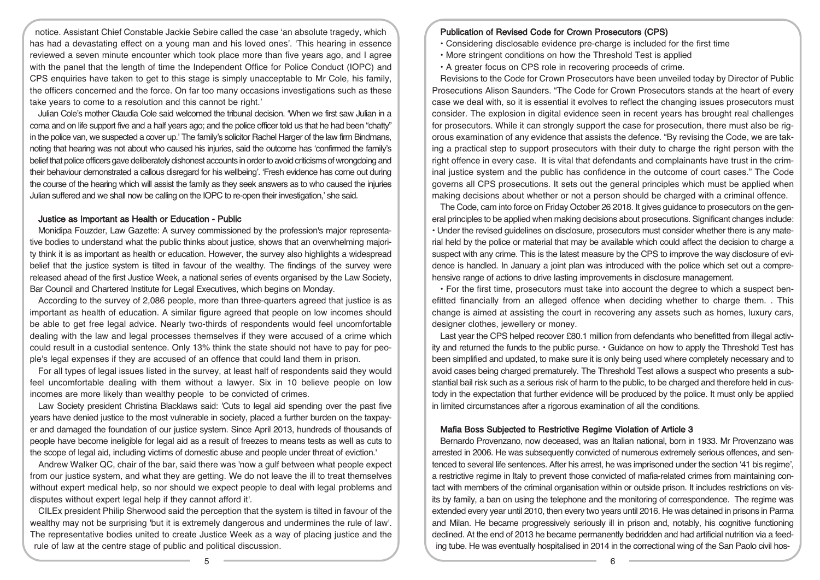notice. Assistant Chief Constable Jackie Sebire called the case 'an absolute tragedy, which has had a devastating effect on a young man and his loved ones'. 'This hearing in essence reviewed a seven minute encounter which took place more than five years ago, and I agree with the panel that the length of time the Independent Office for Police Conduct (IOPC) and CPS enquiries have taken to get to this stage is simply unacceptable to Mr Cole, his family, the officers concerned and the force. On far too many occasions investigations such as these take years to come to a resolution and this cannot be right.'

Julian Cole's mother Claudia Cole said welcomed the tribunal decision. 'When we first saw Julian in a coma and on life support five and a half years ago; and the police officer told us that he had been "chatty" in the police van, we suspected a cover up.' The family's solicitor Rachel Harger of the law firm Bindmans, noting that hearing was not about who caused his injuries, said the outcome has 'confirmed the family's belief that police officers gave deliberately dishonest accounts in orderto avoid criticisms ofwrongdoing and their behaviour demonstrated a callous disregard for his wellbeing'. 'Fresh evidence has come out during the course of the hearing which will assist the family as they seek answers as to who caused the injuries Julian suffered and we shall now be calling on the IOPC to re-open their investigation,' she said.

#### Justice as Important as Health or Education - Public

Monidipa Fouzder, Law Gazette: A survey commissioned by the profession's major representative bodies to understand what the public thinks about justice, shows that an overwhelming majority think it is as important as health or education. However, the survey also highlights a widespread belief that the justice system is tilted in favour of the wealthy. The findings of the survey were released ahead of the first Justice Week, a national series of events organised by the Law Society, Bar Council and Chartered Institute for Legal Executives, which begins on Monday.

According to the survey of 2,086 people, more than three-quarters agreed that justice is as important as health of education. A similar figure agreed that people on low incomes should be able to get free legal advice. Nearly two-thirds of respondents would feel uncomfortable dealing with the law and legal processes themselves if they were accused of a crime which could result in a custodial sentence. Only 13% think the state should not have to pay for people's legal expenses if they are accused of an offence that could land them in prison.

For all types of legal issues listed in the survey, at least half of respondents said they would feel uncomfortable dealing with them without a lawyer. Six in 10 believe people on low incomes are more likely than wealthy people to be convicted of crimes.

Law Society president Christina Blacklaws said: 'Cuts to legal aid spending over the past five years have denied justice to the most vulnerable in society, placed a further burden on the taxpayer and damaged the foundation of our justice system. Since April 2013, hundreds of thousands of people have become ineligible for legal aid as a result of freezes to means tests as well as cuts to the scope of legal aid, including victims of domestic abuse and people under threat of eviction.'

Andrew Walker QC, chair of the bar, said there was 'now a gulf between what people expect from our justice system, and what they are getting. We do not leave the ill to treat themselves without expert medical help, so nor should we expect people to deal with legal problems and disputes without expert legal help if they cannot afford it'.

CILEx president Philip Sherwood said the perception that the system is tilted in favour of the wealthy may not be surprising 'but it is extremely dangerous and undermines the rule of law'. The representative bodies united to create Justice Week as a way of placing justice and the rule of law at the centre stage of public and political discussion.

#### Publication of Revised Code for Crown Prosecutors (CPS)

- Considering disclosable evidence pre-charge is included for the first time
- More stringent conditions on how the Threshold Test is applied
- A greater focus on CPS role in recovering proceeds of crime.

Revisions to the Code for Crown Prosecutors have been unveiled today by Director of Public Prosecutions Alison Saunders. "The Code for Crown Prosecutors stands at the heart of every case we deal with, so it is essential it evolves to reflect the changing issues prosecutors must consider. The explosion in digital evidence seen in recent years has brought real challenges for prosecutors. While it can strongly support the case for prosecution, there must also be rigorous examination of any evidence that assists the defence. "By revising the Code, we are taking a practical step to support prosecutors with their duty to charge the right person with the right offence in every case. It is vital that defendants and complainants have trust in the criminal justice system and the public has confidence in the outcome of court cases." The Code governs all CPS prosecutions. It sets out the general principles which must be applied when making decisions about whether or not a person should be charged with a criminal offence.

The Code, cam into force on Friday October 26 2018. It gives guidance to prosecutors on the general principles to be applied when making decisions about prosecutions. Significant changes include: • Under the revised guidelines on disclosure, prosecutors must consider whether there is any material held by the police or material that may be available which could affect the decision to charge a suspect with any crime. This is the latest measure by the CPS to improve the way disclosure of evidence is handled. In January a joint plan was introduced with the police which set out a comprehensive range of actions to drive lasting improvements in disclosure management.

• For the first time, prosecutors must take into account the degree to which a suspect benefitted financially from an alleged offence when deciding whether to charge them. . This change is aimed at assisting the court in recovering any assets such as homes, luxury cars, designer clothes, jewellery or money.

Last year the CPS helped recover £80.1 million from defendants who benefitted from illegal activity and returned the funds to the public purse. • Guidance on how to apply the Threshold Test has been simplified and updated, to make sure it is only being used where completely necessary and to avoid cases being charged prematurely. The Threshold Test allows a suspect who presents a substantial bail risk such as a serious risk of harm to the public, to be charged and therefore held in custody in the expectation that further evidence will be produced by the police. It must only be applied in limited circumstances after a rigorous examination of all the conditions.

## Mafia Boss Subjected to Restrictive Regime Violation of Article 3

Bernardo Provenzano, now deceased, was an Italian national, born in 1933. Mr Provenzano was arrested in 2006. He was subsequently convicted of numerous extremely serious offences, and sentenced to several life sentences. After his arrest, he was imprisoned under the section '41 bis regime', a restrictive regime in Italy to prevent those convicted of mafia-related crimes from maintaining contact with members of the criminal organisation within or outside prison. It includes restrictions on visits by family, a ban on using the telephone and the monitoring of correspondence. The regime was extended every year until 2010, then every two years until 2016. He was detained in prisons in Parma and Milan. He became progressively seriously ill in prison and, notably, his cognitive functioning declined. At the end of 2013 he became permanently bedridden and had artificial nutrition via a feeding tube. He was eventually hospitalised in 2014 in the correctional wing of the San Paolo civil hos-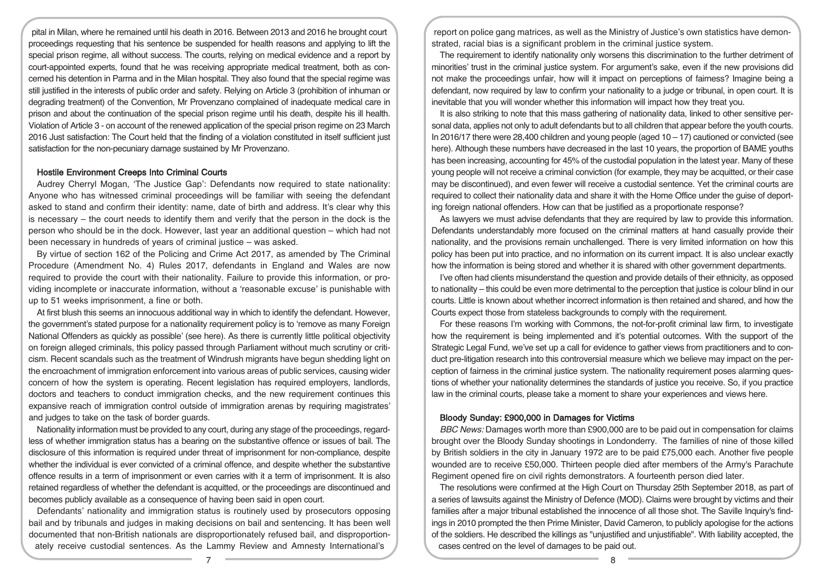pital in Milan, where he remained until his death in 2016. Between 2013 and 2016 he brought court proceedings requesting that his sentence be suspended for health reasons and applying to lift the special prison regime, all without success. The courts, relying on medical evidence and a report by court-appointed experts, found that he was receiving appropriate medical treatment, both as concerned his detention in Parma and in the Milan hospital. They also found that the special regime was still justified in the interests of public order and safety. Relying on Article 3 (prohibition of inhuman or degrading treatment) of the Convention, Mr Provenzano complained of inadequate medical care in prison and about the continuation of the special prison regime until his death, despite his ill health. Violation of Article 3 - on account of the renewed application of the special prison regime on 23 March 2016 Just satisfaction: The Court held that the finding of a violation constituted in itself sufficient just satisfaction for the non-pecuniary damage sustained by Mr Provenzano.

#### Hostile Environment Creeps Into Criminal Courts

Audrey Cherryl Mogan, 'The Justice Gap': Defendants now required to state nationality: Anyone who has witnessed criminal proceedings will be familiar with seeing the defendant asked to stand and confirm their identity: name, date of birth and address. It's clear why this is necessary – the court needs to identify them and verify that the person in the dock is the person who should be in the dock. However, last year an additional question – which had not been necessary in hundreds of years of criminal justice – was asked.

By virtue of section 162 of the Policing and Crime Act 2017, as amended by The Criminal Procedure (Amendment No. 4) Rules 2017, defendants in England and Wales are now required to provide the court with their nationality. Failure to provide this information, or providing incomplete or inaccurate information, without a 'reasonable excuse' is punishable with up to 51 weeks imprisonment, a fine or both.

At first blush this seems an innocuous additional way in which to identify the defendant. However, the government's stated purpose for a nationality requirement policy is to 'remove as many Foreign National Offenders as quickly as possible' (see here). As there is currently little political objectivity on foreign alleged criminals, this policy passed through Parliament without much scrutiny or criticism. Recent scandals such as the treatment of Windrush migrants have begun shedding light on the encroachment of immigration enforcement into various areas of public services, causing wider concern of how the system is operating. Recent legislation has required employers, landlords, doctors and teachers to conduct immigration checks, and the new requirement continues this expansive reach of immigration control outside of immigration arenas by requiring magistrates' and judges to take on the task of border guards.

Nationality information must be provided to any court, during any stage of the proceedings, regardless of whether immigration status has a bearing on the substantive offence or issues of bail. The disclosure of this information is required under threat of imprisonment for non-compliance, despite whether the individual is ever convicted of a criminal offence, and despite whether the substantive offence results in a term of imprisonment or even carries with it a term of imprisonment. It is also retained regardless of whether the defendant is acquitted, or the proceedings are discontinued and becomes publicly available as a consequence of having been said in open court.

Defendants' nationality and immigration status is routinely used by prosecutors opposing bail and by tribunals and judges in making decisions on bail and sentencing. It has been well documented that non-British nationals are disproportionately refused bail, and disproportionately receive custodial sentences. As the Lammy Review and Amnesty International's

report on police gang matrices, as well as the Ministry of Justice's own statistics have demonstrated, racial bias is a significant problem in the criminal justice system.

The requirement to identify nationality only worsens this discrimination to the further detriment of minorities' trust in the criminal justice system. For argument's sake, even if the new provisions did not make the proceedings unfair, how will it impact on perceptions of fairness? Imagine being a defendant, now required by law to confirm your nationality to a judge or tribunal, in open court. It is inevitable that you will wonder whether this information will impact how they treat you.

It is also striking to note that this mass gathering of nationality data, linked to other sensitive personal data, applies not only to adult defendants but to all children that appear before the youth courts. In 2016/17 there were  $28,400$  children and young people (aged  $10 - 17$ ) cautioned or convicted (see here). Although these numbers have decreased in the last 10 years, the proportion of BAME youths has been increasing, accounting for 45% of the custodial population in the latest year. Many of these young people will not receive a criminal conviction (for example, they may be acquitted, or their case may be discontinued), and even fewer will receive a custodial sentence. Yet the criminal courts are required to collect their nationality data and share it with the Home Office under the guise of deporting foreign national offenders. How can that be justified as a proportionate response?

As lawyers we must advise defendants that they are required by law to provide this information. Defendants understandably more focused on the criminal matters at hand casually provide their nationality, and the provisions remain unchallenged. There is very limited information on how this policy has been put into practice, and no information on its current impact. It is also unclear exactly how the information is being stored and whether it is shared with other government departments.

I've often had clients misunderstand the question and provide details of their ethnicity, as opposed to nationality – this could be even more detrimental to the perception that justice is colour blind in our courts. Little is known about whether incorrect information is then retained and shared, and how the Courts expect those from stateless backgrounds to comply with the requirement.

For these reasons I'm working with Commons, the not-for-profit criminal law firm, to investigate how the requirement is being implemented and it's potential outcomes. With the support of the Strategic Legal Fund, we've set up a call for evidence to gather views from practitioners and to conduct pre-litigation research into this controversial measure which we believe may impact on the perception of fairness in the criminal justice system. The nationality requirement poses alarming questions of whether your nationality determines the standards of justice you receive. So, if you practice law in the criminal courts, please take a moment to share your experiences and views here.

#### Bloody Sunday: £900,000 in Damages for Victims

BBC News: Damages worth more than £900,000 are to be paid out in compensation for claims brought over the Bloody Sunday shootings in Londonderry. The families of nine of those killed by British soldiers in the city in January 1972 are to be paid £75,000 each. Another five people wounded are to receive £50,000. Thirteen people died after members of the Army's Parachute Regiment opened fire on civil rights demonstrators. A fourteenth person died later.

The resolutions were confirmed at the High Court on Thursday 25th September 2018, as part of a series of lawsuits against the Ministry of Defence (MOD). Claims were brought by victims and their families after a major tribunal established the innocence of all those shot. The Saville Inquiry's findings in 2010 prompted the then Prime Minister, David Cameron, to publicly apologise for the actions of the soldiers. He described the killings as "unjustified and unjustifiable". With liability accepted, the cases centred on the level of damages to be paid out.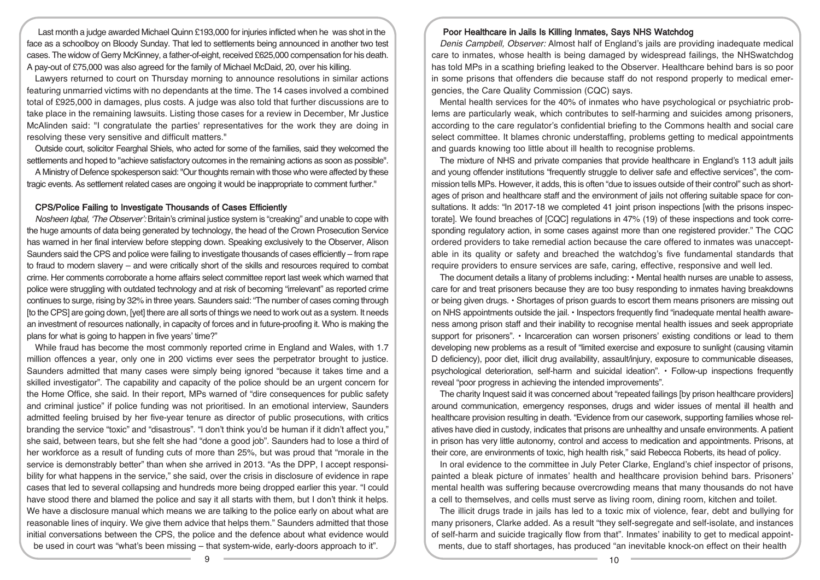Last month a judge awarded Michael Quinn £193,000 for injuries inflicted when he was shot in the face as a schoolboy on Bloody Sunday. That led to settlements being announced in another two test cases. The widow of Gerry McKinney, a father-of-eight, received £625,000 compensation for his death. A pay-out of £75,000 was also agreed for the family of Michael McDaid, 20, over his killing.

Lawyers returned to court on Thursday morning to announce resolutions in similar actions featuring unmarried victims with no dependants at the time. The 14 cases involved a combined total of £925,000 in damages, plus costs. A judge was also told that further discussions are to take place in the remaining lawsuits. Listing those cases for a review in December, Mr Justice McAlinden said: "I congratulate the parties' representatives for the work they are doing in resolving these very sensitive and difficult matters."

Outside court, solicitor Fearghal Shiels, who acted for some of the families, said they welcomed the settlements and hoped to "achieve satisfactory outcomes in the remaining actions as soon as possible".

A Ministry of Defence spokesperson said:"Our thoughts remain with those who were affected by these tragic events. As settlement related cases are ongoing it would be inappropriate to comment further."

#### CPS/Police Failing to Investigate Thousands of Cases Efficiently

Nosheen Iqbal, 'The Observer': Britain's criminal justice system is "creaking" and unable to cope with the huge amounts of data being generated by technology, the head of the Crown Prosecution Service has warned in her final interview before stepping down. Speaking exclusively to the Observer, Alison Saunders said the CPS and police were failing to investigate thousands of cases efficiently – from rape to fraud to modern slavery – and were critically short of the skills and resources required to combat crime. Her comments corroborate a home affairs select committee report last week which warned that police were struggling with outdated technology and at risk of becoming "irrelevant" as reported crime continues to surge, rising by 32% in three years. Saunders said: "The number of cases coming through [to the CPS] are going down, [yet] there are all sorts of things we need to work out as a system. It needs an investment of resources nationally, in capacity of forces and in future-proofing it. Who is making the plans for what is going to happen in five years' time?"

While fraud has become the most commonly reported crime in England and Wales, with 1.7 million offences a year, only one in 200 victims ever sees the perpetrator brought to justice. Saunders admitted that many cases were simply being ignored "because it takes time and a skilled investigator". The capability and capacity of the police should be an urgent concern for the Home Office, she said. In their report, MPs warned of "dire consequences for public safety and criminal justice" if police funding was not prioritised. In an emotional interview, Saunders admitted feeling bruised by her five-year tenure as director of public prosecutions, with critics branding the service "toxic" and "disastrous". "I don't think you'd be human if it didn't affect you," she said, between tears, but she felt she had "done a good job". Saunders had to lose a third of her workforce as a result of funding cuts of more than 25%, but was proud that "morale in the service is demonstrably better" than when she arrived in 2013. "As the DPP, I accept responsibility for what happens in the service," she said, over the crisis in disclosure of evidence in rape cases that led to several collapsing and hundreds more being dropped earlier this year. "I could have stood there and blamed the police and say it all starts with them, but I don't think it helps. We have a disclosure manual which means we are talking to the police early on about what are reasonable lines of inquiry. We give them advice that helps them." Saunders admitted that those initial conversations between the CPS, the police and the defence about what evidence would be used in court was "what's been missing – that system-wide, early-doors approach to it".

## Poor Healthcare in Jails Is Killing Inmates, Says NHS Watchdog

Denis Campbell, Observer: Almost half of England's jails are providing inadequate medical care to inmates, whose health is being damaged by widespread failings, the NHSwatchdog has told MPs in a scathing briefing leaked to the Observer. Healthcare behind bars is so poor in some prisons that offenders die because staff do not respond properly to medical emergencies, the Care Quality Commission (CQC) says.

Mental health services for the 40% of inmates who have psychological or psychiatric problems are particularly weak, which contributes to self-harming and suicides among prisoners, according to the care regulator's confidential briefing to the Commons health and social care select committee. It blames chronic understaffing, problems getting to medical appointments and guards knowing too little about ill health to recognise problems.

The mixture of NHS and private companies that provide healthcare in England's 113 adult jails and young offender institutions "frequently struggle to deliver safe and effective services", the commission tells MPs. However, it adds, this is often "due to issues outside of their control" such as shortages of prison and healthcare staff and the environment of jails not offering suitable space for consultations. It adds: "In 2017-18 we completed 41 joint prison inspections [with the prisons inspectorate]. We found breaches of [CQC] regulations in 47% (19) of these inspections and took corresponding regulatory action, in some cases against more than one registered provider." The CQC ordered providers to take remedial action because the care offered to inmates was unacceptable in its quality or safety and breached the watchdog's five fundamental standards that require providers to ensure services are safe, caring, effective, responsive and well led.

The document details a litany of problems including: • Mental health nurses are unable to assess, care for and treat prisoners because they are too busy responding to inmates having breakdowns or being given drugs. • Shortages of prison guards to escort them means prisoners are missing out on NHS appointments outside the jail. • Inspectors frequently find "inadequate mental health awareness among prison staff and their inability to recognise mental health issues and seek appropriate support for prisoners". • Incarceration can worsen prisoners' existing conditions or lead to them developing new problems as a result of "limited exercise and exposure to sunlight (causing vitamin D deficiency), poor diet, illicit drug availability, assault/injury, exposure to communicable diseases, psychological deterioration, self-harm and suicidal ideation". • Follow-up inspections frequently reveal "poor progress in achieving the intended improvements".

The charity Inquest said it was concerned about "repeated failings [by prison healthcare providers] around communication, emergency responses, drugs and wider issues of mental ill health and healthcare provision resulting in death. "Evidence from our casework, supporting families whose relatives have died in custody, indicates that prisons are unhealthy and unsafe environments. A patient in prison has very little autonomy, control and access to medication and appointments. Prisons, at their core, are environments of toxic, high health risk," said Rebecca Roberts, its head of policy.

In oral evidence to the committee in July Peter Clarke, England's chief inspector of prisons, painted a bleak picture of inmates' health and healthcare provision behind bars. Prisoners' mental health was suffering because overcrowding means that many thousands do not have a cell to themselves, and cells must serve as living room, dining room, kitchen and toilet.

The illicit drugs trade in jails has led to a toxic mix of violence, fear, debt and bullying for many prisoners, Clarke added. As a result "they self-segregate and self-isolate, and instances of self-harm and suicide tragically flow from that". Inmates' inability to get to medical appointments, due to staff shortages, has produced "an inevitable knock-on effect on their health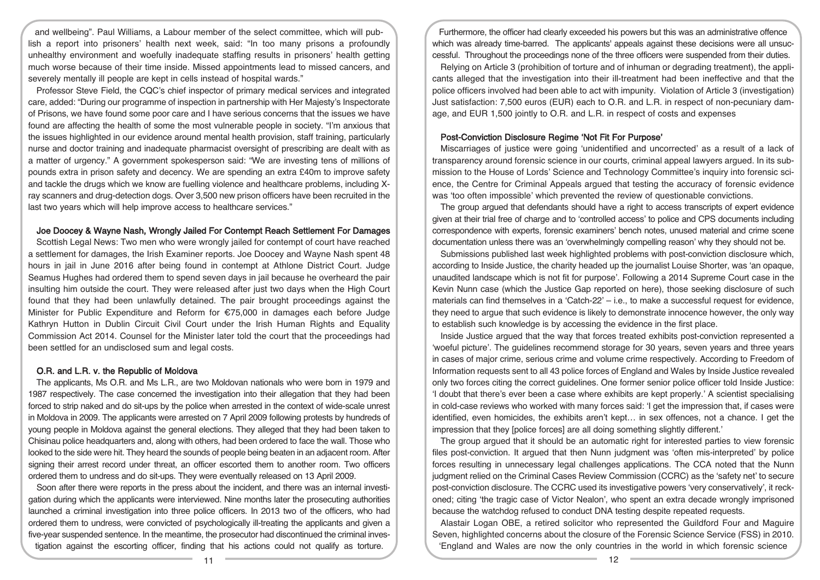and wellbeing". Paul Williams, a Labour member of the select committee, which will publish a report into prisoners' health next week, said: "In too many prisons a profoundly unhealthy environment and woefully inadequate staffing results in prisoners' health getting much worse because of their time inside. Missed appointments lead to missed cancers, and severely mentally ill people are kept in cells instead of hospital wards."

Professor Steve Field, the CQC's chief inspector of primary medical services and integrated care, added: "During our programme of inspection in partnership with Her Majesty's Inspectorate of Prisons, we have found some poor care and I have serious concerns that the issues we have found are affecting the health of some the most vulnerable people in society. "I'm anxious that the issues highlighted in our evidence around mental health provision, staff training, particularly nurse and doctor training and inadequate pharmacist oversight of prescribing are dealt with as a matter of urgency." A government spokesperson said: "We are investing tens of millions of pounds extra in prison safety and decency. We are spending an extra £40m to improve safety and tackle the drugs which we know are fuelling violence and healthcare problems, including Xray scanners and drug-detection dogs. Over 3,500 new prison officers have been recruited in the last two years which will help improve access to healthcare services."

#### Joe Doocey & Wayne Nash, Wrongly Jailed For Contempt Reach Settlement For Damages

Scottish Legal News: Two men who were wrongly jailed for contempt of court have reached a settlement for damages, the Irish Examiner reports. Joe Doocey and Wayne Nash spent 48 hours in jail in June 2016 after being found in contempt at Athlone District Court. Judge Seamus Hughes had ordered them to spend seven days in jail because he overheard the pair insulting him outside the court. They were released after just two days when the High Court found that they had been unlawfully detained. The pair brought proceedings against the Minister for Public Expenditure and Reform for €75,000 in damages each before Judge Kathryn Hutton in Dublin Circuit Civil Court under the Irish Human Rights and Equality Commission Act 2014. Counsel for the Minister later told the court that the proceedings had been settled for an undisclosed sum and legal costs.

#### O.R. and L.R. v. the Republic of Moldova

The applicants, Ms O.R. and Ms L.R., are two Moldovan nationals who were born in 1979 and 1987 respectively. The case concerned the investigation into their allegation that they had been forced to strip naked and do sit-ups by the police when arrested in the context of wide-scale unrest in Moldova in 2009. The applicants were arrested on 7 April 2009 following protests by hundreds of young people in Moldova against the general elections. They alleged that they had been taken to Chisinau police headquarters and, along with others, had been ordered to face the wall. Those who looked to the side were hit. They heard the sounds of people being beaten in an adjacent room. After signing their arrest record under threat, an officer escorted them to another room. Two officers ordered them to undress and do sit-ups. They were eventually released on 13 April 2009.

Soon after there were reports in the press about the incident, and there was an internal investigation during which the applicants were interviewed. Nine months later the prosecuting authorities launched a criminal investigation into three police officers. In 2013 two of the officers, who had ordered them to undress, were convicted of psychologically ill-treating the applicants and given a five-year suspended sentence. In the meantime, the prosecutor had discontinued the criminal investigation against the escorting officer, finding that his actions could not qualify as torture.

Furthermore, the officer had clearly exceeded his powers but this was an administrative offence which was already time-barred. The applicants' appeals against these decisions were all unsuccessful. Throughout the proceedings none of the three officers were suspended from their duties.

Relying on Article 3 (prohibition of torture and of inhuman or degrading treatment), the applicants alleged that the investigation into their ill-treatment had been ineffective and that the police officers involved had been able to act with impunity. Violation of Article 3 (investigation) Just satisfaction: 7,500 euros (EUR) each to O.R. and L.R. in respect of non-pecuniary damage, and EUR 1,500 jointly to O.R. and L.R. in respect of costs and expenses

#### Post-Conviction Disclosure Regime 'Not Fit For Purpose'

Miscarriages of justice were going 'unidentified and uncorrected' as a result of a lack of transparency around forensic science in our courts, criminal appeal lawyers argued. In its submission to the House of Lords' Science and Technology Committee's inquiry into forensic science, the Centre for Criminal Appeals argued that testing the accuracy of forensic evidence was 'too often impossible' which prevented the review of questionable convictions.

The group argued that defendants should have a right to access transcripts of expert evidence given at their trial free of charge and to 'controlled access' to police and CPS documents including correspondence with experts, forensic examiners' bench notes, unused material and crime scene documentation unless there was an 'overwhelmingly compelling reason' why they should not be.

Submissions published last week highlighted problems with post-conviction disclosure which, according to Inside Justice, the charity headed up the journalist Louise Shorter, was 'an opaque, unaudited landscape which is not fit for purpose'. Following a 2014 Supreme Court case in the Kevin Nunn case (which the Justice Gap reported on here), those seeking disclosure of such materials can find themselves in a 'Catch-22' – i.e., to make a successful request for evidence, they need to argue that such evidence is likely to demonstrate innocence however, the only way to establish such knowledge is by accessing the evidence in the first place.

Inside Justice argued that the way that forces treated exhibits post-conviction represented a 'woeful picture'. The guidelines recommend storage for 30 years, seven years and three years in cases of major crime, serious crime and volume crime respectively. According to Freedom of Information requests sent to all 43 police forces of England and Wales by Inside Justice revealed only two forces citing the correct guidelines. One former senior police officer told Inside Justice: 'I doubt that there's ever been a case where exhibits are kept properly.' A scientist specialising in cold-case reviews who worked with many forces said: 'I get the impression that, if cases were identified, even homicides, the exhibits aren't kept… in sex offences, not a chance. I get the impression that they [police forces] are all doing something slightly different.'

The group argued that it should be an automatic right for interested parties to view forensic files post-conviction. It argued that then Nunn judgment was 'often mis-interpreted' by police forces resulting in unnecessary legal challenges applications. The CCA noted that the Nunn judgment relied on the Criminal Cases Review Commission (CCRC) as the 'safety net' to secure post-conviction disclosure. The CCRC used its investigative powers 'very conservatively', it reckoned; citing 'the tragic case of Victor Nealon', who spent an extra decade wrongly imprisoned because the watchdog refused to conduct DNA testing despite repeated requests.

Alastair Logan OBE, a retired solicitor who represented the Guildford Four and Maguire Seven, highlighted concerns about the closure of the Forensic Science Service (FSS) in 2010. 'England and Wales are now the only countries in the world in which forensic science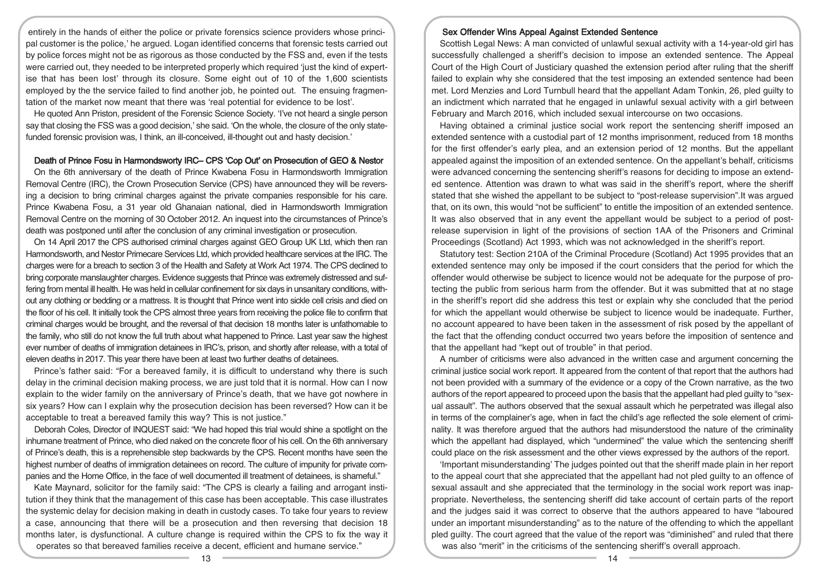entirely in the hands of either the police or private forensics science providers whose principal customer is the police,' he argued. Logan identified concerns that forensic tests carried out by police forces might not be as rigorous as those conducted by the FSS and, even if the tests were carried out, they needed to be interpreted properly which required 'just the kind of expertise that has been lost' through its closure. Some eight out of 10 of the 1,600 scientists employed by the the service failed to find another job, he pointed out. The ensuing fragmentation of the market now meant that there was 'real potential for evidence to be lost'.

He quoted Ann Priston, president of the Forensic Science Society. 'I've not heard a single person say that closing the FSS was a good decision,' she said. 'On the whole, the closure of the only statefunded forensic provision was, I think, an ill-conceived, ill-thought out and hasty decision.'

#### Death of Prince Fosu in Harmondsworty IRC– CPS 'Cop Out' on Prosecution of GEO & Nestor

On the 6th anniversary of the death of Prince Kwabena Fosu in Harmondsworth Immigration Removal Centre (IRC), the Crown Prosecution Service (CPS) have announced they will be reversing a decision to bring criminal charges against the private companies responsible for his care. Prince Kwabena Fosu, a 31 year old Ghanaian national, died in Harmondsworth Immigration Removal Centre on the morning of 30 October 2012. An inquest into the circumstances of Prince's death was postponed until after the conclusion of any criminal investigation or prosecution.

On 14 April 2017 the CPS authorised criminal charges against GEO Group UK Ltd, which then ran Harmondsworth, and Nestor Primecare Services Ltd, which provided healthcare services at the IRC. The charges were for a breach to section 3 of the Health and Safety at Work Act 1974. The CPS declined to bring corporate manslaughter charges. Evidence suggests that Prince was extremely distressed and suffering from mental ill health. He was held in cellular confinement for six days in unsanitary conditions, without any clothing or bedding or a mattress. It is thought that Prince went into sickle cell crisis and died on the floor of his cell. It initially took the CPS almost three years from receiving the police file to confirm that criminal charges would be brought, and the reversal of that decision 18 months later is unfathomable to the family, who still do not know the full truth about what happened to Prince. Last year saw the highest ever number of deaths of immigration detainees in IRC's, prison, and shortly after release, with a total of eleven deaths in 2017. This year there have been at least two further deaths of detainees.

Prince's father said: "For a bereaved family, it is difficult to understand why there is such delay in the criminal decision making process, we are just told that it is normal. How can I now explain to the wider family on the anniversary of Prince's death, that we have got nowhere in six years? How can I explain why the prosecution decision has been reversed? How can it be acceptable to treat a bereaved family this way? This is not justice."

Deborah Coles, Director of INQUEST said: "We had hoped this trial would shine a spotlight on the inhumane treatment of Prince, who died naked on the concrete floor of his cell. On the 6th anniversary of Prince's death, this is a reprehensible step backwards by the CPS. Recent months have seen the highest number of deaths of immigration detainees on record. The culture of impunity for private companies and the Home Office, in the face of well documented ill treatment of detainees, is shameful."

Kate Maynard, solicitor for the family said: "The CPS is clearly a failing and arrogant institution if they think that the management of this case has been acceptable. This case illustrates the systemic delay for decision making in death in custody cases. To take four years to review a case, announcing that there will be a prosecution and then reversing that decision 18 months later, is dysfunctional. A culture change is required within the CPS to fix the way it operates so that bereaved families receive a decent, efficient and humane service."

## Sex Offender Wins Appeal Against Extended Sentence

Scottish Legal News: A man convicted of unlawful sexual activity with a 14-year-old girl has successfully challenged a sheriff's decision to impose an extended sentence. The Appeal Court of the High Court of Justiciary quashed the extension period after ruling that the sheriff failed to explain why she considered that the test imposing an extended sentence had been met. Lord Menzies and Lord Turnbull heard that the appellant Adam Tonkin, 26, pled guilty to an indictment which narrated that he engaged in unlawful sexual activity with a girl between February and March 2016, which included sexual intercourse on two occasions.

Having obtained a criminal justice social work report the sentencing sheriff imposed an extended sentence with a custodial part of 12 months imprisonment, reduced from 18 months for the first offender's early plea, and an extension period of 12 months. But the appellant appealed against the imposition of an extended sentence. On the appellant's behalf, criticisms were advanced concerning the sentencing sheriff's reasons for deciding to impose an extended sentence. Attention was drawn to what was said in the sheriff's report, where the sheriff stated that she wished the appellant to be subject to "post-release supervision".It was argued that, on its own, this would "not be sufficient" to entitle the imposition of an extended sentence. It was also observed that in any event the appellant would be subject to a period of postrelease supervision in light of the provisions of section 1AA of the Prisoners and Criminal Proceedings (Scotland) Act 1993, which was not acknowledged in the sheriff's report.

Statutory test: Section 210A of the Criminal Procedure (Scotland) Act 1995 provides that an extended sentence may only be imposed if the court considers that the period for which the offender would otherwise be subject to licence would not be adequate for the purpose of protecting the public from serious harm from the offender. But it was submitted that at no stage in the sheriff's report did she address this test or explain why she concluded that the period for which the appellant would otherwise be subject to licence would be inadequate. Further, no account appeared to have been taken in the assessment of risk posed by the appellant of the fact that the offending conduct occurred two years before the imposition of sentence and that the appellant had "kept out of trouble" in that period.

A number of criticisms were also advanced in the written case and argument concerning the criminal justice social work report. It appeared from the content of that report that the authors had not been provided with a summary of the evidence or a copy of the Crown narrative, as the two authors of the report appeared to proceed upon the basis that the appellant had pled guilty to "sexual assault". The authors observed that the sexual assault which he perpetrated was illegal also in terms of the complainer's age, when in fact the child's age reflected the sole element of criminality. It was therefore argued that the authors had misunderstood the nature of the criminality which the appellant had displayed, which "undermined" the value which the sentencing sheriff could place on the risk assessment and the other views expressed by the authors of the report.

'Important misunderstanding' The judges pointed out that the sheriff made plain in her report to the appeal court that she appreciated that the appellant had not pled guilty to an offence of sexual assault and she appreciated that the terminology in the social work report was inappropriate. Nevertheless, the sentencing sheriff did take account of certain parts of the report and the judges said it was correct to observe that the authors appeared to have "laboured under an important misunderstanding" as to the nature of the offending to which the appellant pled guilty. The court agreed that the value of the report was "diminished" and ruled that there was also "merit" in the criticisms of the sentencing sheriff's overall approach.